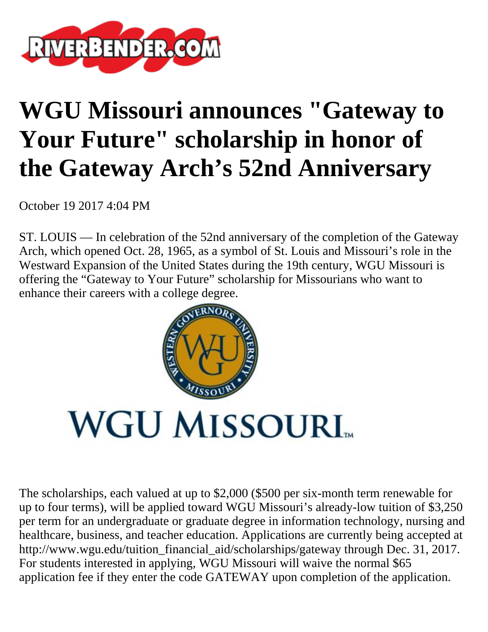

## **WGU Missouri announces "Gateway to Your Future" scholarship in honor of the Gateway Arch's 52nd Anniversary**

October 19 2017 4:04 PM

ST. LOUIS — In celebration of the 52nd anniversary of the completion of the Gateway Arch, which opened Oct. 28, 1965, as a symbol of St. Louis and Missouri's role in the Westward Expansion of the United States during the 19th century, WGU Missouri is offering the "Gateway to Your Future" scholarship for Missourians who want to enhance their careers with a college degree.



The scholarships, each valued at up to \$2,000 (\$500 per six-month term renewable for up to four terms), will be applied toward WGU Missouri's already-low tuition of \$3,250 per term for an undergraduate or graduate degree in information technology, nursing and healthcare, business, and teacher education. Applications are currently being accepted at http://www.wgu.edu/tuition\_financial\_aid/scholarships/gateway through Dec. 31, 2017. For students interested in applying, WGU Missouri will waive the normal \$65 application fee if they enter the code GATEWAY upon completion of the application.